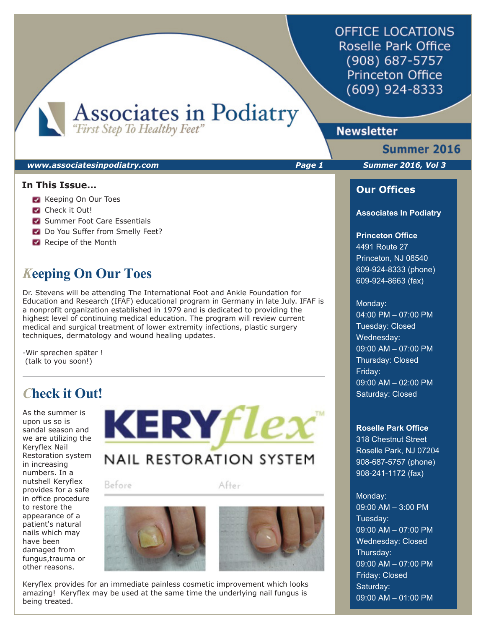**OFFICE LOCATIONS** Roselle Park Office (908) 687-5757 **Princeton Office** (609) 924-8333

Associates in Podiatry

# **Newsletter**

#### *www.associatesinpodiatry.com Page 1 Summer 2016, Vol 3*

### **In This Issue...**

- **Keeping On Our Toes**
- **Check it Out!**
- **Summer Foot Care Essentials**
- Do You Suffer from Smelly Feet?
- Recipe of the Month

# *K***eeping On Our Toes**

Dr. Stevens will be attending The International Foot and Ankle Foundation for Education and Research (IFAF) educational program in Germany in late July. IFAF is a nonprofit organization established in 1979 and is dedicated to providing the highest level of continuing medical education. The program will review current medical and surgical treatment of lower extremity infections, plastic surgery techniques, dermatology and wound healing updates.

-Wir sprechen später ! (talk to you soon!)

# *C***heck it Out!**

As the summer is upon us so is sandal season and we are utilizing the Keryflex Nail Restoration system in increasing numbers. In a nutshell Keryflex provides for a safe in office procedure to restore the appearance of a patient's natural nails which may have been damaged from fungus,trauma or other reasons.

**KERYflex NAIL RESTORATION SYSTEM** 

Before

After





Summer 2016

### **Our Offices**

#### **Associates In Podiatry**

### **Princeton Office**

4491 Route 27 Princeton, NJ 08540 609-924-8333 (phone) 609-924-8663 (fax)

#### Monday:

04:00 PM – 07:00 PM Tuesday: Closed Wednesday: 09:00 AM – 07:00 PM Thursday: Closed Friday: 09:00 AM – 02:00 PM Saturday: Closed

#### **Roselle Park Office**

318 Chestnut Street Roselle Park, NJ 07204 908-687-5757 (phone) 908-241-1172 (fax)

### Monday:

09:00 AM – 3:00 PM Tuesday: 09:00 AM – 07:00 PM Wednesday: Closed Thursday: 09:00 AM – 07:00 PM Friday: Closed Saturday: 09:00 AM – 01:00 PM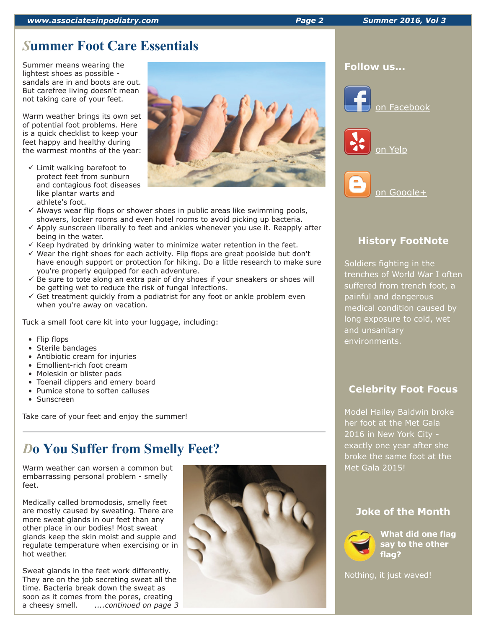# *S***ummer Foot Care Essentials**

Summer means wearing the lightest shoes as possible sandals are in and boots are out. But carefree living doesn't mean not taking care of your feet.

Warm weather brings its own set of potential foot problems. Here is a quick checklist to keep your feet happy and healthy during the warmest months of the year:

- $\checkmark$  Limit walking barefoot to protect feet from sunburn and contagious foot diseases like plantar warts and athlete's foot.
- $\checkmark$  Always wear flip flops or shower shoes in public areas like swimming pools, showers, locker rooms and even hotel rooms to avoid picking up bacteria.
- $\checkmark$  Apply sunscreen liberally to feet and ankles whenever you use it. Reapply after being in the water.
- $\checkmark$  Keep hydrated by drinking water to minimize water retention in the feet.
- $\checkmark$  Wear the right shoes for each activity. Flip flops are great poolside but don't have enough support or protection for hiking. Do a little research to make sure you're properly equipped for each adventure.
- $\checkmark$  Be sure to tote along an extra pair of dry shoes if your sneakers or shoes will be getting wet to reduce the risk of fungal infections.
- $\checkmark$  Get treatment quickly from a podiatrist for any foot or ankle problem even when you're away on vacation.

Tuck a small foot care kit into your luggage, including:

- Flip flops
- Sterile bandages
- Antibiotic cream for injuries
- Emollient-rich foot cream
- Moleskin or blister pads
- Toenail clippers and emery board
- Pumice stone to soften calluses
- Sunscreen

Take care of your feet and enjoy the summer!

# *D***o You Suffer from Smelly Feet?**

Warm weather can worsen a common but embarrassing personal problem - smelly feet.

Medically called bromodosis, smelly feet are mostly caused by sweating. There are more sweat glands in our feet than any other place in our bodies! Most sweat glands keep the skin moist and supple and regulate temperature when exercising or in hot weather.

Sweat glands in the feet work differently. They are on the job secreting sweat all the time. Bacteria break down the sweat as soon as it comes from the pores, creating a cheesy smell. *....continued on page 3*



### **Follow us...**







# **History FootNote**

Soldiers fighting in the trenches of World War I often suffered from trench foot, a painful and dangerous medical condition caused by long exposure to cold, wet and unsanitary environments.

## **Celebrity Foot Focus**

Model Hailey Baldwin broke her foot at the Met Gala 2016 in New York City exactly one year after she broke the same foot at the Met Gala 2015!

### **Joke of the Month**



**What did one flag say to the other flag?**

Nothing, it just waved!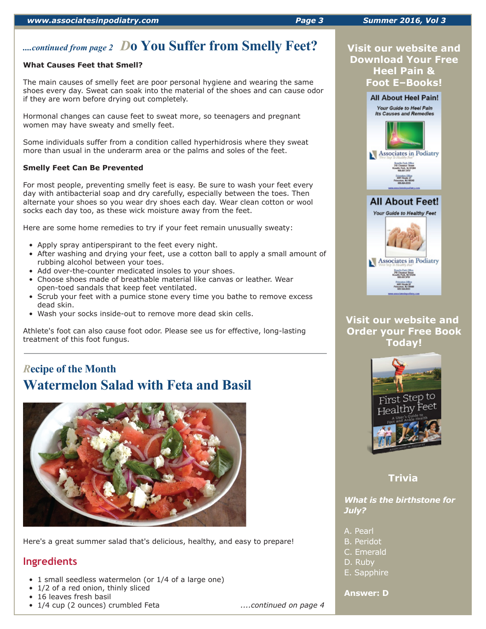# *....continued from page 2 D***o You Suffer from Smelly Feet?**

#### **What Causes Feet that Smell?**

The main causes of smelly feet are poor personal hygiene and wearing the same shoes every day. Sweat can soak into the material of the shoes and can cause odor if they are worn before drying out completely.

Hormonal changes can cause feet to sweat more, so teenagers and pregnant women may have sweaty and smelly feet.

Some individuals suffer from a condition called hyperhidrosis where they sweat more than usual in the underarm area or the palms and soles of the feet.

### **Smelly Feet Can Be Prevented**

For most people, preventing smelly feet is easy. Be sure to wash your feet every day with antibacterial soap and dry carefully, especially between the toes. Then alternate your shoes so you wear dry shoes each day. Wear clean cotton or wool socks each day too, as these wick moisture away from the feet.

Here are some home remedies to try if your feet remain unusually sweaty:

- Apply spray antiperspirant to the feet every night.
- After washing and drying your feet, use a cotton ball to apply a small amount of rubbing alcohol between your toes.
- Add over-the-counter medicated insoles to your shoes.
- Choose shoes made of breathable material like canvas or leather. Wear open-toed sandals that keep feet ventilated.
- Scrub your feet with a pumice stone every time you bathe to remove excess dead skin.
- Wash your socks inside-out to remove more dead skin cells.

Athlete's foot can also cause foot odor. Please see us for effective, long-lasting treatment of this foot fungus.

# *R***ecipe of the Month Watermelon Salad with Feta and Basil**



Here's a great summer salad that's delicious, healthy, and easy to prepare!

### **Ingredients**

- 1 small seedless watermelon (or 1/4 of a large one)
- 1/2 of a red onion, thinly sliced
- 16 leaves fresh basil
- 1/4 cup (2 ounces) crumbled Feta *....continued on page 4*



### **Visit our website and Download Your Free Heel Pain & Foot E–Books!**



### **Visit our website and Order your Free Book Today!**



### **Trivia**

### *What is the birthstone for July?*

- A. Pearl
- B. Peridot
- C. Emerald
- D. Ruby
- E. Sapphire

### **Answer: D**